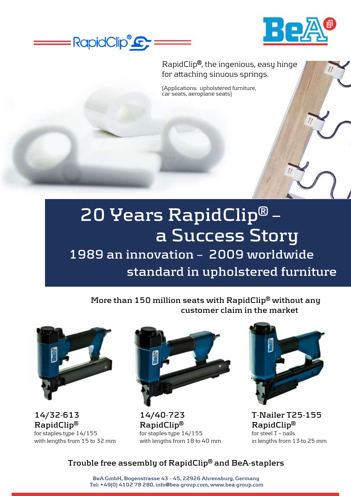



RapidClip**®**, the ingenious, easy hinge for attaching sinuous springs.

(Applications: upholstered furniture, car seats, aeroplane seats)

## **20 Years RapidClip® – a Success Story 1989 an innovation – 2009 worldwide standard in upholstered furniture**

**More than 150 million seats with RapidClip® without any customer claim in the market**



**14/32-613 RapidClip®** for staples type 14/155 with lengths from 15 to 32 mm



**14/40-723 RapidClip®** for staples type 14/155 with lengths from 18 to 40 mm



**T-Nailer T25-155 RapidClip®** for steel T – nails in lengths from 13 to 25 mm

## **Trouble free assembly of RapidClip® and BeA-staplers**

**BeA GmbH, Bogenstrasse 43 – 45, 22926 Ahrensburg, Germany Tel: +49(0) 4102 78 280, info@bea-group.com, www.bea-group.com**